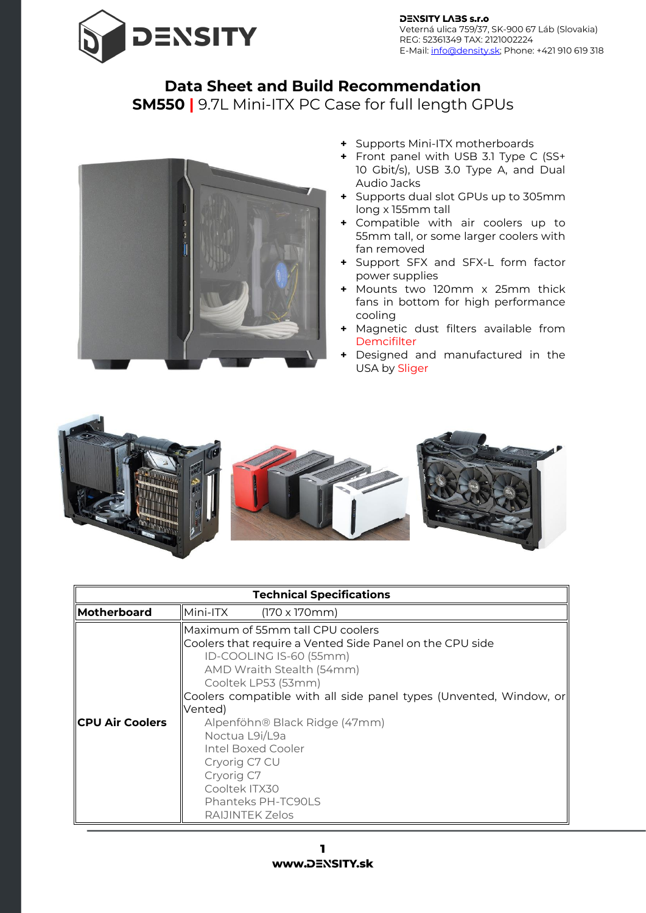

## **Data Sheet and Build Recommendation**

## **SM550 |** 9.7L Mini-ITX PC Case for full length GPUs



- **+** Supports Mini-ITX motherboards
- **+** Front panel with USB 3.1 Type C (SS+ 10 Gbit/s), USB 3.0 Type A, and Dual Audio Jacks
- **+** Supports dual slot GPUs up to 305mm long x 155mm tall
- **+** Compatible with air coolers up to 55mm tall, or some larger coolers with fan removed
- **+** Support SFX and SFX-L form factor power supplies
- **+** Mounts two 120mm x 25mm thick fans in bottom for high performance cooling
- **+** Magnetic dust filters available from [Demcifilter](https://www.density.sk/product-category/dust-filters/)
- **+** Designed and manufactured in the USA by Sliger



| <b>Technical Specifications</b> |                                                                                                                                                                                                                                                                                                                                                                                                                                |  |  |  |
|---------------------------------|--------------------------------------------------------------------------------------------------------------------------------------------------------------------------------------------------------------------------------------------------------------------------------------------------------------------------------------------------------------------------------------------------------------------------------|--|--|--|
| <b>Motherboard</b>              | Mini-ITX<br>$(170 \times 170 \text{mm})$                                                                                                                                                                                                                                                                                                                                                                                       |  |  |  |
| <b>ICPU Air Coolers</b>         | Maximum of 55mm tall CPU coolers<br>Coolers that require a Vented Side Panel on the CPU side<br>ID-COOLING IS-60 (55mm)<br>AMD Wraith Stealth (54mm)<br>Cooltek LP53 (53mm)<br>Coolers compatible with all side panel types (Unvented, Window, or<br>Vented)<br>Alpenföhn® Black Ridge (47mm)<br>Noctua L9i/L9a<br>Intel Boxed Cooler<br>Cryorig C7 CU<br>Cryorig C7<br>Cooltek ITX30<br>Phanteks PH-TC90LS<br>RAIJINTEK Zelos |  |  |  |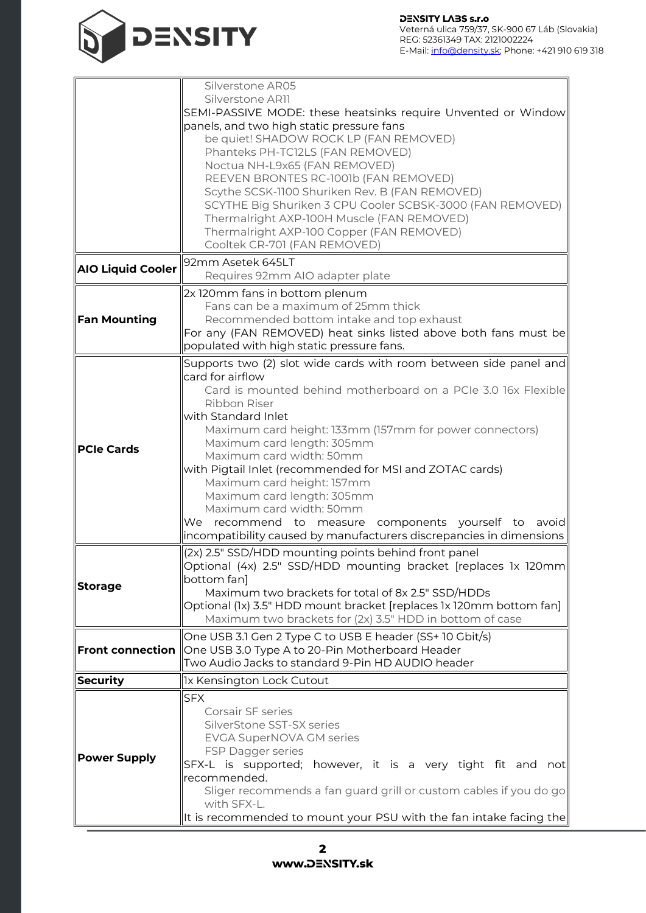

|                          | Silverstone AR05                                                                                                                                                                                                          |  |  |  |
|--------------------------|---------------------------------------------------------------------------------------------------------------------------------------------------------------------------------------------------------------------------|--|--|--|
|                          | Silverstone AR11                                                                                                                                                                                                          |  |  |  |
|                          | SEMI-PASSIVE MODE: these heatsinks require Unvented or Window<br>panels, and two high static pressure fans<br>be quiet! SHADOW ROCK LP (FAN REMOVED)                                                                      |  |  |  |
|                          |                                                                                                                                                                                                                           |  |  |  |
|                          | Phanteks PH-TC12LS (FAN REMOVED)<br>Noctua NH-L9x65 (FAN REMOVED)<br>REEVEN BRONTES RC-1001b (FAN REMOVED)<br>Scythe SCSK-1100 Shuriken Rev. B (FAN REMOVED)<br>SCYTHE Big Shuriken 3 CPU Cooler SCBSK-3000 (FAN REMOVED) |  |  |  |
|                          |                                                                                                                                                                                                                           |  |  |  |
|                          |                                                                                                                                                                                                                           |  |  |  |
|                          |                                                                                                                                                                                                                           |  |  |  |
|                          |                                                                                                                                                                                                                           |  |  |  |
|                          | Thermalright AXP-100H Muscle (FAN REMOVED)                                                                                                                                                                                |  |  |  |
|                          | Thermalright AXP-100 Copper (FAN REMOVED)                                                                                                                                                                                 |  |  |  |
|                          | Cooltek CR-701 (FAN REMOVED)                                                                                                                                                                                              |  |  |  |
|                          | 92mm Asetek 645LT                                                                                                                                                                                                         |  |  |  |
| <b>AIO Liquid Cooler</b> | Requires 92mm AIO adapter plate                                                                                                                                                                                           |  |  |  |
|                          | 2x 120mm fans in bottom plenum                                                                                                                                                                                            |  |  |  |
|                          | Fans can be a maximum of 25mm thick                                                                                                                                                                                       |  |  |  |
| <b>Fan Mounting</b>      | Recommended bottom intake and top exhaust                                                                                                                                                                                 |  |  |  |
|                          | For any (FAN REMOVED) heat sinks listed above both fans must be                                                                                                                                                           |  |  |  |
|                          | populated with high static pressure fans.                                                                                                                                                                                 |  |  |  |
|                          | Supports two (2) slot wide cards with room between side panel and                                                                                                                                                         |  |  |  |
|                          | card for airflow                                                                                                                                                                                                          |  |  |  |
|                          | Card is mounted behind motherboard on a PCIe 3.0 16x Flexible                                                                                                                                                             |  |  |  |
|                          | Ribbon Riser                                                                                                                                                                                                              |  |  |  |
|                          | with Standard Inlet                                                                                                                                                                                                       |  |  |  |
|                          | Maximum card height: 133mm (157mm for power connectors)                                                                                                                                                                   |  |  |  |
| <b>PCIe Cards</b>        | Maximum card length: 305mm                                                                                                                                                                                                |  |  |  |
|                          | Maximum card width: 50mm                                                                                                                                                                                                  |  |  |  |
|                          | with Pigtail Inlet (recommended for MSI and ZOTAC cards)                                                                                                                                                                  |  |  |  |
|                          | Maximum card height: 157mm                                                                                                                                                                                                |  |  |  |
|                          | Maximum card length: 305mm<br>Maximum card width: 50mm                                                                                                                                                                    |  |  |  |
|                          | We recommend to measure components yourself to avoid                                                                                                                                                                      |  |  |  |
|                          | incompatibility caused by manufacturers discrepancies in dimensions                                                                                                                                                       |  |  |  |
|                          | (2x) 2.5" SSD/HDD mounting points behind front panel                                                                                                                                                                      |  |  |  |
|                          | Optional (4x) 2.5" SSD/HDD mounting bracket [replaces 1x 120mm                                                                                                                                                            |  |  |  |
|                          | bottom fan]                                                                                                                                                                                                               |  |  |  |
| <b>Storage</b>           | Maximum two brackets for total of 8x 2.5" SSD/HDDs                                                                                                                                                                        |  |  |  |
|                          | Optional (1x) 3.5" HDD mount bracket [replaces 1x 120mm bottom fan]                                                                                                                                                       |  |  |  |
|                          | Maximum two brackets for (2x) 3.5" HDD in bottom of case                                                                                                                                                                  |  |  |  |
|                          | One USB 3.1 Gen 2 Type C to USB E header (SS+ 10 Gbit/s)                                                                                                                                                                  |  |  |  |
| <b>Front connection</b>  | One USB 3.0 Type A to 20-Pin Motherboard Header                                                                                                                                                                           |  |  |  |
|                          | Two Audio Jacks to standard 9-Pin HD AUDIO header                                                                                                                                                                         |  |  |  |
| Security                 | 1x Kensington Lock Cutout                                                                                                                                                                                                 |  |  |  |
|                          | <b>SFX</b>                                                                                                                                                                                                                |  |  |  |
|                          | Corsair SF series                                                                                                                                                                                                         |  |  |  |
|                          | SilverStone SST-SX series                                                                                                                                                                                                 |  |  |  |
| <b>Power Supply</b>      | <b>EVGA SuperNOVA GM series</b>                                                                                                                                                                                           |  |  |  |
|                          | FSP Dagger series                                                                                                                                                                                                         |  |  |  |
|                          | SFX-L is supported; however, it is a very tight fit and not                                                                                                                                                               |  |  |  |
|                          | recommended.                                                                                                                                                                                                              |  |  |  |
|                          | Sliger recommends a fan guard grill or custom cables if you do go                                                                                                                                                         |  |  |  |
|                          | with SFX-L.                                                                                                                                                                                                               |  |  |  |
|                          | It is recommended to mount your PSU with the fan intake facing the                                                                                                                                                        |  |  |  |

 $\overline{\mathbf{2}}$ www.DENSITY.sk